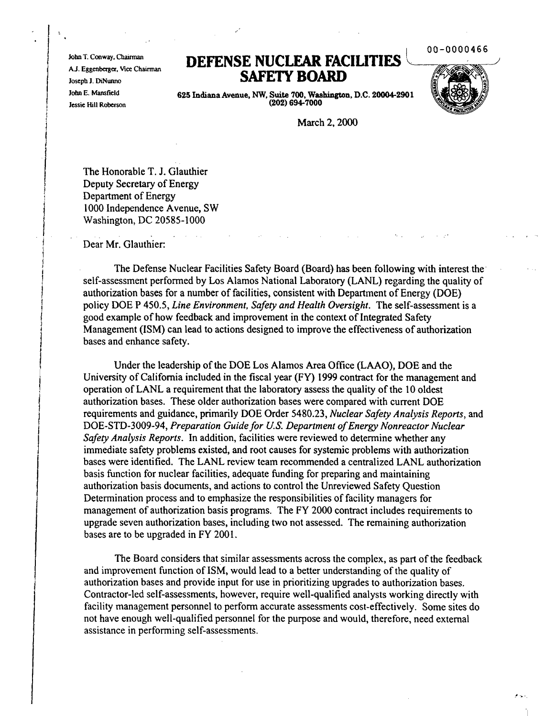00-0000466

John T. Conway, Chairman A.J. Eggenberger, Vice Chairman Joseph J. DiNunno John E. Mansfield Jessie Hill Roberson

# **DEFENSE NUCLEAR FACILITIES SAFETY BOARD**



 $\bullet$  .

625 IndianaAvenue, NW, Suite 700, Washington, D.C. 20004-2901 (202) 694-7000

March 2, 2000

The Honorable T. J. Glauthier Deputy Secretary of Energy Department of Energy 1000 Independence Avenue, SW Washington, DC 20585-1000

Dear Mr. Glauthier:

The Defense Nuclear Facilities Safety Board (Board) has been following with interest the self-assessment performed by Los Alamos National Laboratory (LANL) regarding the quality of authorization bases for a number of facilities, consistent with Department of Energy (DOE) policy DOE P 450.5, *Line Environment, Safety and Health Oversight.* The self-assessment is a good example of how feedback and improvement in the context of Integrated Safety Management (ISM) can lead to actions designed to improve the effectiveness of authorization bases and enhance safety.

Under the leadership of the DOE Los Alamos Area Office (LAAO), DOE and the University of California included in the fiscal year (FY) 1999 contract for the management and operation of LANL a requirement that the laboratory assess the quality of the 10 oldest authorization bases. These older authorization bases were compared with current DOE requirements and guidance, primarily DOE Order 5480.23, *Nuclear Safety Analysis Reports,* and DOE-STD-3009-94, *Preparation Guide for U.S. Department of Energy Nonreactor Nuclear Safety Analysis Reports.* In addition, facilities were reviewed to determine whether any immediate safety problems existed, and root causes for systemic problems with authorization bases were identified. The LANL review team recommended a centralized LANL authorization basis function for nuclear facilities, adequate funding for preparing and maintaining authorization basis documents, and actions to control the Unreviewed Safety Question Determination process and to emphasize the responsibilities of facility managers for management of authorization basis programs. The FY 2000 contract includes requirements to upgrade seven authorization bases, including two not assessed. The remaining authorization bases are to be upgraded in FY 2001.

The Board considers that similar assessments across the complex, as part of the feedback and improvement function of ISM, would lead to a better understanding of the quality of authorization bases and provide input for use in prioritizing upgrades to authorization bases. Contractor-led self-assessments, however, require well-qualified analysts working directly with facility management personnel to perform accurate assessments cost-effectively. Some sites do not have enough well-qualified personnel for the purpose and would, therefore, need external assistance in performing self-assessments.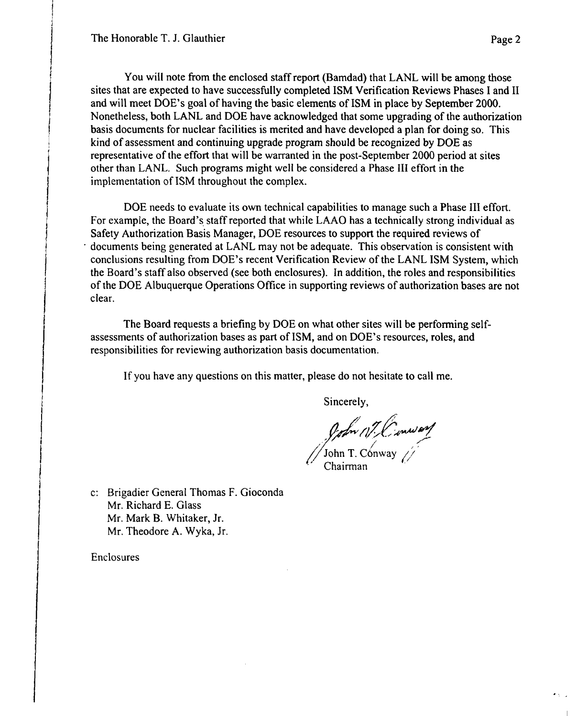You will note from the enclosed staffreport (Bamdad) that LANL will be among those sites that are expected to have successfully completed ISM Verification Reviews Phases I and II and will meet DOE's goal of having the basic elements of ISM in place by September 2000. Nonetheless, both LANL and DOE have acknowledged that some upgrading of the authorization basis documents for nuclear facilities is merited and have developed a plan for doing so. This kind of assessment and continuing upgrade program should be recognized by DOE as representative of the effort that will be warranted in the post-September 2000 period at sites other than LANL. Such programs might well be considered a Phase III effort in the implementation of ISM throughout the complex.

DOE needs to evaluate its own technical capabilities to manage such a Phase III effort. For example, the Board's staff reported that while LAAO has a technically strong individual as Safety Authorization Basis Manager, DOE resources to support the required reviews of . documents being generated at LANL may not be adequate. This observation is consistent with conclusions resulting from DOE's recent Verification Review of the LANL ISM System, which the Board's staff also observed (see both enclosures). In addition, the roles and responsibilities ofthe DOE Albuquerque Operations Office in supporting reviews of authorization bases are not clear.

The Board requests a briefing by DOE on what other sites will be performing selfassessments of authorization bases as part ofISM, and on DOE's resources, roles, and responsibilities for reviewing authorization basis documentation.

If you have any questions on this matter, please do not hesitate to call me.

Sincerely,

mann,  $\sqrt{3}$ John T. Conway  $\sqrt{3}$ 

 $\left( \begin{array}{cc} \cdot & \cdot & \cdot \\ \cdot & \cdot & \cdot \end{array} \right)$ 

c: Brigadier General Thomas F. Gioconda Mr. Richard E. Glass Mr. Mark B. Whitaker, Jr. Mr. Theodore A. Wyka, Jr.

Enclosures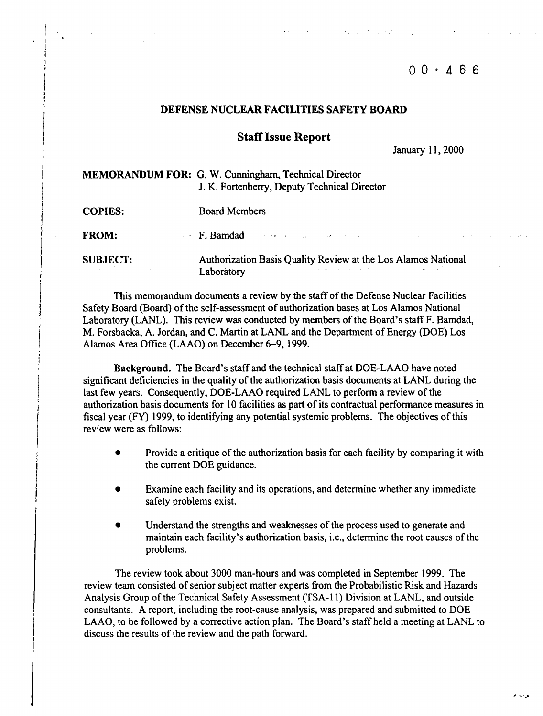# $00 \cdot 466$

#### DEFENSE NUCLEAR FACILITIES SAFETY BOARD

#### **Staff Issue Report**

January II, 2000

| <b>MEMORANDUM FOR: G. W. Cunningham, Technical Director</b> |
|-------------------------------------------------------------|
| J. K. Fortenberry, Deputy Technical Director                |

COPIES: Board Members

FROM: F. Bamdad

SUBJECT:

Authorization Basis Quality Review at the Los Alamos National **Laboratory** 

 $\mathcal{O}(\mathcal{O}(1))$  , and  $\mathcal{O}(\mathcal{O}(1))$  , and  $\mathcal{O}(\mathcal{O}(1))$ 

This memorandum documents a review by the staffofthe Defense Nuclear Facilities Safety Board (Board) of the self-assessment of authorization bases at Los Alamos National Laboratory (LANL). This review was conducted by members of the Board's staff F. Bamdad, M. Forsbacka, A. Jordan, and C. Martin at LANL and the Department of Energy (DOE) Los Alamos Area Office (LAAO) on December 6-9, 1999.

Background. The Board's staff and the technical staffat DOE-LAAO have noted significant deficiencies in the quality of the authorization basis documents at LANL during the last few years. Consequently, DOE-LAAO required LANL to perform a review of the authorization basis documents for 10 facilities as part of its contractual performance measures in fiscal year (FY) 1999, to identifying any potential systemic problems. The objectives ofthis review were as follows:

- Provide a critique of the authorization basis for each facility by comparing it with the current DOE guidance.
- Examine each facility and its operations, and determine whether any immediate safety problems exist.
- Understand the strengths and weaknesses of the process used to generate and maintain each facility's authorization basis, *i.e.*, determine the root causes of the problems.

The review took about 3000 man-hours and was completed in September 1999. The review team consisted of senior subject matter experts from the Probabilistic Risk and Hazards Analysis Group of the Technical Safety Assessment (TSA-11) Division at LANL, and outside consultants. A report, including the root-cause analysis, was prepared and submitted to DOE LAAO, to be followed by a corrective action plan. The Board's staff held a meeting at LANL to discuss the results of the review and the path forward.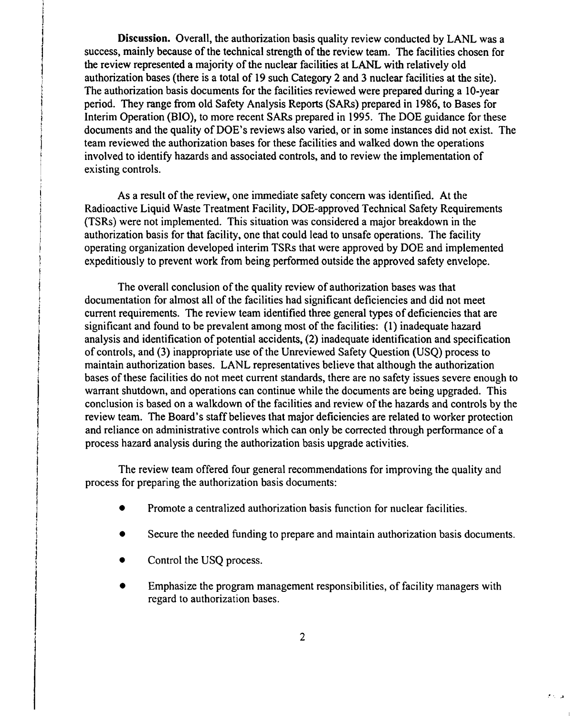Discussion. Overall, the authorization basis quality review conducted by LANL was a success, mainly because of the technical strength of the review team. The facilities chosen for the review represented a majority of the nuclear facilities at LANL with relatively old authorization bases (there is a total of 19 such Category 2 and 3 nuclear facilities at the site). The authorization basis documents for the facilities reviewed were prepared during a 10-year period. They range from old Safety Analysis Reports (SARs) prepared in 1986, to Bases for Interim Operation (BIO), to more recent SARs prepared in 1995. The DOE guidance for these documents and the quality of DOE's reviews also varied, or in some instances did not exist. The team reviewed the authorization bases for these facilities and walked down the operations involved to identify hazards and associated controls, and to review the implementation of existing controls.

As a result of the review, one immediate safety concern was identified. At the Radioactive Liquid Waste Treatment Facility, DOE-approved Technical Safety Requirements (TSRs) were not implemented. This situation was considered a major breakdown in the authorization basis for that facility, one that could lead to unsafe operations. The facility operating organization developed interim TSRs that were approved by DOE and implemented expeditiously to prevent work from being performed outside the approved safety envelope.

The overall conclusion of the quality review of authorization bases was that documentation for almost all of the facilities had significant deficiencies and did not meet current requirements. The review team identified three general types of deficiencies that are significant and found to be prevalent among most of the facilities: (1) inadequate hazard analysis and identification of potential accidents, (2) inadequate identification and specification of controls, and (3) inappropriate use ofthe Unreviewed Safety Question (USQ) process to maintain authorization bases. LANL representatives believe that although the authorization bases of these facilities do not meet current standards, there are no safety issues severe enough to warrant shutdown, and operations can continue while the documents are being upgraded. This conclusion is based on a walkdown of the facilities and review of the hazards and controls by the review team. The Board's staff believes that major deficiencies are related to worker protection and reliance on administrative controls which can only be corrected through performance of a process hazard analysis during the authorization basis upgrade activities.

The review team offered four general recommendations for improving the quality and process for preparing the authorization basis documents:

- Promote a centralized authorization basis function for nuclear facilities.
- Secure the needed funding to prepare and maintain authorization basis documents.
- Control the USQ process.
- Emphasize the program management responsibilities, of facility managers with regard to authorization bases.

. .A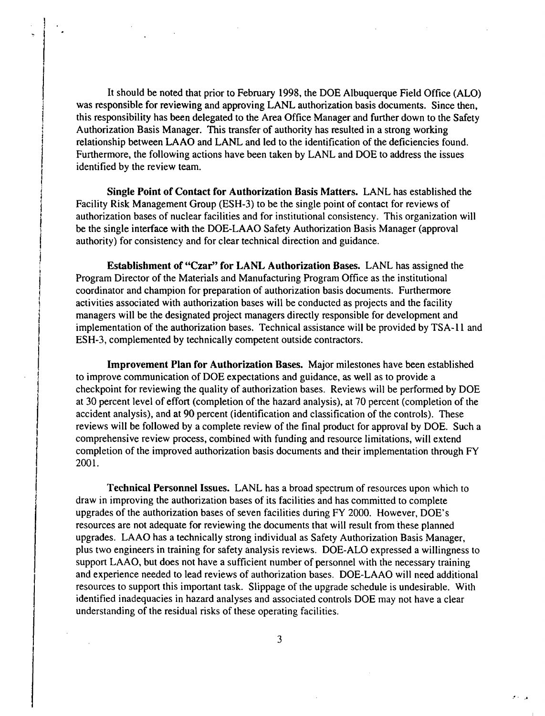It should be noted that prior to February 1998, the DOE Albuquerque Field Office (ALO) was responsible for reviewing and approving LANL authorization basis documents. Since then, this responsibility has been delegated to the Area Office Manager and further down to the Safety Authorization Basis Manager. This transfer of authority has resulted in a strong working relationship between LAAO and LANL and led to the identification of the deficiencies found. Furthermore, the following actions have been taken by LANL and DOE to address the issues identified by the review team.

Single Point of Contact for Authorization Basis Matters. LANL has established the Facility Risk Management Group (ESH-3) to be the single point of contact for reviews of authorization bases of nuclear facilities and for institutional consistency. This organization will be the single interface with the DOE-LAAO Safety Authorization Basis Manager (approval authority) for consistency and for clear technical direction and guidance.

Establishment of "Czar" for LANL Authorization Bases. LANL has assigned the Program Director of the Materials and Manufacturing Program Office as the institutional coordinator and champion for preparation of authorization basis documents. Furthermore activities associated with authorization bases will be conducted as projects and the facility managers will be the designated project managers directly responsible for development and implementation of the authorization bases. Technical assistance will be provided by TSA-ll and ESH-3, complemented by technically competent outside contractors.

Improvement Plan for Authorization Bases. Major milestones have been established to improve communication of DOE expectations and guidance, as well as to provide a checkpoint for reviewing the quality of authorization bases. Reviews will be performed by DOE at 30 percent level of effort (completion of the hazard analysis), at 70 percent (completion of the accident analysis), and at 90 percent (identification and classification of the controls). These reviews will be followed by a complete review of the final product for approval by DOE. Such a comprehensive review process, combined with funding and resource limitations, will extend completion of the improved authorization basis documents and their implementation through FY 2001.

Technical Personnel Issues. LANL has a broad spectrum of resources upon which to draw in improving the authorization bases of its facilities and has committed to complete upgrades of the authorization bases of seven facilities during FY 2000. However, DOE's resources are not adequate for reviewing the documents that will result from these planned upgrades. LAAO has a technically strong individual as Safety Authorization Basis Manager, plus two engineers in training for safety analysis reviews. DOE-ALO expressed a willingness to support LAAO, but does not have a sufficient number of personnel with the necessary training and experience needed to lead reviews of authorization bases. DOE-LAAO will need additional resources to support this important task. Slippage of the upgrade schedule is undesirable. With identified inadequacies in hazard analyses and associated controls DOE may not have a clear understanding of the residual risks of these operating facilities.

3

 $\cdot$  .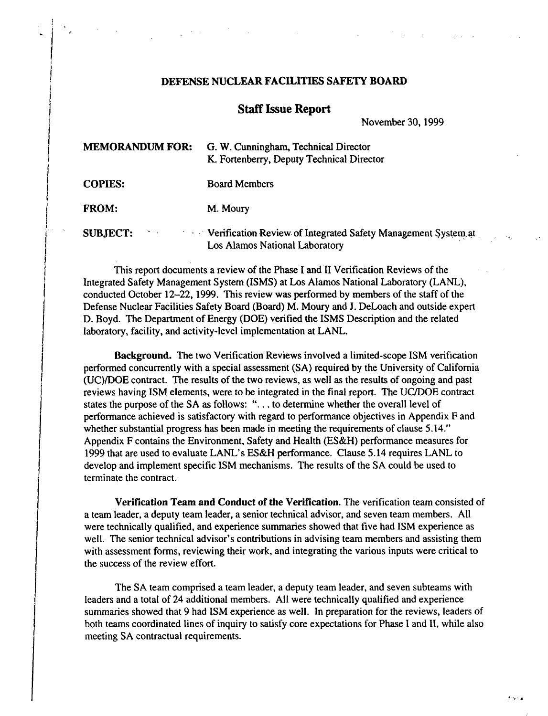## DEFENSE NUCLEAR FACILITIES SAFETY BOARD

### **Staff Issue Report**

November 30, 1999

| <b>MEMORANDUM FOR:</b>     | G. W. Cunningham, Technical Director<br>K. Fortenberry, Deputy Technical Director                                  |
|----------------------------|--------------------------------------------------------------------------------------------------------------------|
| <b>COPIES:</b>             | <b>Board Members</b>                                                                                               |
| <b>FROM:</b>               | M. Moury                                                                                                           |
| <b>SUBJECT:</b><br>a Maria | <b>Example 2.1 Verification Review of Integrated Safety Management System at</b><br>Los Alamos National Laboratory |

This report documents a review of the Phase I and II Verification Reviews of the Integrated Safety Management System (ISMS) at Los Alamos National Laboratory (LANL), conducted October 12-22, 1999. This review was performed by members of the staff of the Defense Nuclear Facilities Safety Board (Board) M. Moury and J. DeLoach and outside expert D. Boyd. The Department of Energy (DOE) verified the ISMS Description and the related laboratory, facility, and activity-level implementation at LANL.

I

Background. The two Verification Reviews involved a limited-scope ISM verification performed concurrently with a special assessment (SA) required by the University of California (UC)/DOE contract. The results of the two reviews, as well as the results of ongoing and past reviews having ISM elements, were to be integrated in the final report. The UCIDOE contract states the purpose of the SA as follows: "... to determine whether the overall level of performance achieved is satisfactory with regard to performance objectives in Appendix F and whether substantial progress has been made in meeting the requirements of clause 5.14." Appendix F contains the Environment, Safety and Health (ES&H) performance measures for 1999 that are used to evaluate LANL's ES&H performance. Clause 5.14 requires LANL to develop and implement specific ISM mechanisms. The results of the SA could be used to terminate the contract.

Verification Team and Conduct of the Verification. The verification team consisted of a team leader, a deputy team leader, a senior technical advisor, and seven team members. All were technically qualified, and experience summaries showed that five had ISM experience as well. The senior technical advisor's contributions in advising team members and assisting them with assessment forms, reviewing their work, and integrating the various inputs were critical to the success of the review effort.

The SA team comprised a team leader, a deputy team leader, and seven subteams with leaders and a total of 24 additional members. All were technically qualified and experience summaries showed that 9 had ISM experience as well. In preparation for the reviews, leaders of both teams coordinated lines of inquiry to satisfy core expectations for Phase I and II, while also meeting SA contractual requirements.

....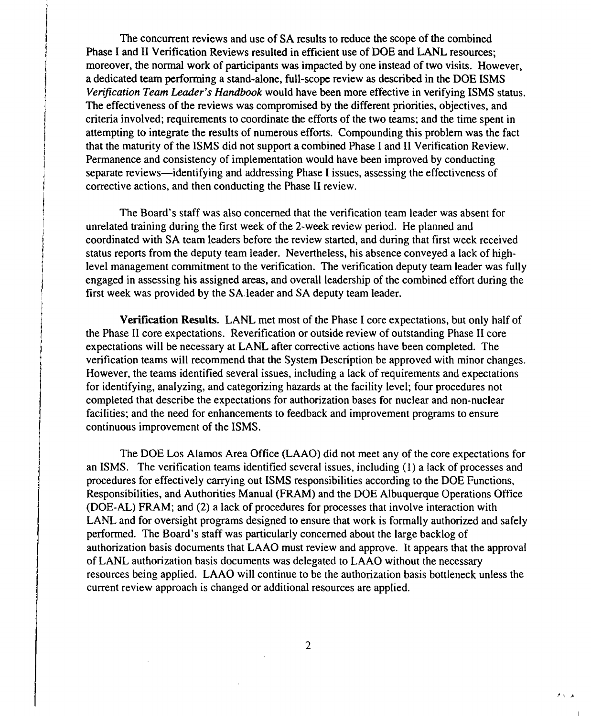The concurrent reviews and use of SA results to reduce the scope of the combined Phase I and II Verification Reviews resulted in efficient use of DOE and LANL resources; moreover, the normal work of participants was impacted by one instead of two visits. However, a dedicated team performing a stand-alone, full-scope review as described in the DOE ISMS *Verification Team Leader's Handbook* would have been more effective in verifying ISMS status. The effectiveness of the reviews was compromised by the different priorities, objectives, and criteria involved; requirements to coordinate the efforts of the two teams; and the time spent in attempting to integrate the results of numerous efforts. Compounding this problem was the fact that the maturity of the ISMS did not support a combined Phase I and II Verification Review. Permanence and consistency of implementation would have been improved by conducting separate reviews—identifying and addressing Phase I issues, assessing the effectiveness of corrective actions, and then conducting the Phase II review.

The Board's staff was also concerned that the verification team leader was absent for unrelated training during the first week of the 2-week review period. He planned and coordinated with SA team leaders before the review started, and during that first week received status reports from the deputy team leader. Nevertheless, his absence conveyed a lack of highlevel management commitment to the verification. The verification deputy team leader was fully engaged in assessing his assigned areas, and overall leadership of the combined effort during the first week was provided by the SAleader and SA deputy team leader.

Verification Results. LANL met most of the Phase I core expectations, but only half of the Phase II core expectations. Reverification or outside review of outstanding Phase II core expectations will be necessary at LANL after corrective actions have been completed. The verification teams will recommend that the System Description be approved with minor changes. However, the teams identified several issues, including a lack of requirements and expectations for identifying, analyzing, and categorizing hazards at the facility level; four procedures not completed that describe the expectations for authorization bases for nuclear and non-nuclear facilities; and the need for enhancements to feedback and improvement programs to ensure continuous improvement of the ISMS.

The DOE Los Alamos Area Office (LAAO) did not meet any of the core expectations for an ISMS. The verification teams identified several issues, including (1) a lack of processes and procedures for effectively carrying out ISMS responsibilities according to the DOE Functions, Responsibilities, and Authorities Manual (FRAM) and the DOE Albuquerque Operations Office (DOE-AL) FRAM; and (2) a lack of procedures for processes that involve interaction with LANL and for oversight programs designed to ensure that work is formally authorized and safely perfonned. The Board's staff was particularly concerned about the large backlog of authorization basis documents that LAAO must review and approve. It appears that the approval of LANL authorization basis documents was delegated to LAAO without the necessary resources being applied. LAAO will continue to be the authorization basis bottleneck unless the current review approach is changed or additional resources are applied.

 $\sigma \sim 10$